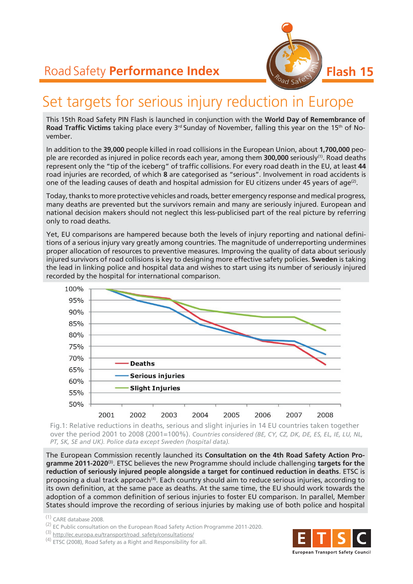

# Set targets for serious injury reduction in Europe

This 15th Road Safety PIN Flash is launched in conjunction with the **World Day of Remembrance of Road Traffic Victims** taking place every 3<sup>rd</sup> Sunday of November, falling this year on the 15<sup>th</sup> of November.

In addition to the **39,000** people killed in road collisions in the European Union, about **1,700,000** people are recorded as injured in police records each year, among them **300,000** seriously(1). Road deaths represent only the "tip of the iceberg" of traffic collisions. For every road death in the EU, at least **44** road injuries are recorded, of which **8** are categorised as "serious". Involvement in road accidents is one of the leading causes of death and hospital admission for EU citizens under 45 years of age<sup>(2)</sup>.

Today, thanks to more protective vehicles and roads, better emergency response and medical progress, many deaths are prevented but the survivors remain and many are seriously injured. European and national decision makers should not neglect this less-publicised part of the real picture by referring only to road deaths.

Yet, EU comparisons are hampered because both the levels of injury reporting and national definitions of a serious injury vary greatly among countries. The magnitude of underreporting undermines proper allocation of resources to preventive measures. Improving the quality of data about seriously injured survivors of road collisions is key to designing more effective safety policies. **Sweden** is taking the lead in linking police and hospital data and wishes to start using its number of seriously injured recorded by the hospital for international comparison.



Fig.1: Relative reductions in deaths, serious and slight injuries in 14 EU countries taken together over the period 2001 to 2008 (2001=100%). *Countries considered (BE, CY, CZ, DK, DE, ES, EL, IE, LU, NL, PT, SK, SE and UK). Police data except Sweden (hospital data).*

The European Commission recently launched its **Consultation on the 4th Road Safety Action Programme 2011-2020**(3). ETSC believes the new Programme should include challenging **targets for the reduction of seriously injured people alongside a target for continued reduction in deaths**. ETSC is proposing a dual track approach<sup>(4)</sup>. Each country should aim to reduce serious injuries, according to its own definition, at the same pace as deaths. At the same time, the EU should work towards the adoption of a common definition of serious injuries to foster EU comparison. In parallel, Member States should improve the recording of serious injuries by making use of both police and hospital



<sup>(1)</sup> CARE database 2008.

<sup>(2)</sup> EC Public consultation on the European Road Safety Action Programme 2011-2020.<br>
(3) http://ec.europa.eu/transport/road\_safety/consultations/

<sup>(4)</sup> ETSC (2008), Road Safety as a Right and Responsibility for all.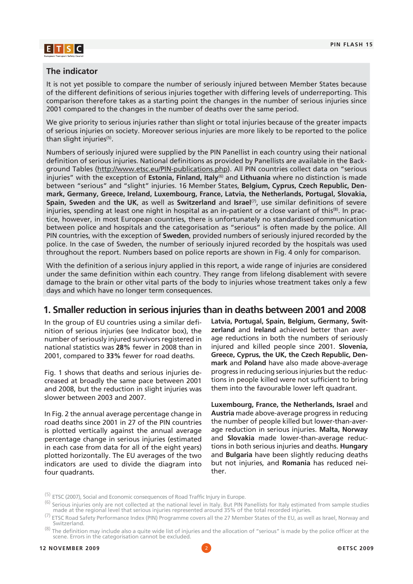

#### **The indicator**

It is not yet possible to compare the number of seriously injured between Member States because of the different definitions of serious injuries together with differing levels of underreporting. This comparison therefore takes as a starting point the changes in the number of serious injuries since 2001 compared to the changes in the number of deaths over the same period.

We give priority to serious injuries rather than slight or total injuries because of the greater impacts of serious injuries on society. Moreover serious injuries are more likely to be reported to the police than slight injuries<sup>(5)</sup>.

Numbers of seriously injured were supplied by the PIN Panellist in each country using their national definition of serious injuries. National definitions as provided by Panellists are available in the Background Tables (http://www.etsc.eu/PIN-publications.php). All PIN countries collect data on "serious injuries" with the exception of **Estonia, Finland, Italy**(6) and **Lithuania** where no distinction is made between "serious" and "slight" injuries. 16 Member States, **Belgium, Cyprus, Czech Republic, Denmark, Germany, Greece, Ireland, Luxembourg, France, Latvia, the Netherlands, Portugal, Slovakia, Spain, Sweden** and **the UK**, as well as **Switzerland** and **Israel**(7), use similar definitions of severe injuries, spending at least one night in hospital as an in-patient or a close variant of this $(8)$ . In practice, however, in most European countries, there is unfortunately no standardised communication between police and hospitals and the categorisation as "serious" is often made by the police. All PIN countries, with the exception of **Sweden**, provided numbers of seriously injured recorded by the police. In the case of Sweden, the number of seriously injured recorded by the hospitals was used throughout the report. Numbers based on police reports are shown in Fig. 4 only for comparison.

With the definition of a serious injury applied in this report, a wide range of injuries are considered under the same definition within each country. They range from lifelong disablement with severe damage to the brain or other vital parts of the body to injuries whose treatment takes only a few days and which have no longer term consequences.

### **1. Smaller reduction in serious injuries than in deaths between 2001 and 2008**

In the group of EU countries using a similar definition of serious injuries (see Indicator box), the number of seriously injured survivors registered in national statistics was **28%** fewer in 2008 than in 2001, compared to **33%** fewer for road deaths.

Fig. 1 shows that deaths and serious injuries decreased at broadly the same pace between 2001 and 2008, but the reduction in slight injuries was slower between 2003 and 2007.

In Fig. 2 the annual average percentage change in road deaths since 2001 in 27 of the PIN countries is plotted vertically against the annual average percentage change in serious injuries (estimated in each case from data for all of the eight years) plotted horizontally. The EU averages of the two indicators are used to divide the diagram into four quadrants.

**Latvia, Portugal, Spain, Belgium, Germany, Switzerland** and **Ireland** achieved better than average reductions in both the numbers of seriously injured and killed people since 2001. **Slovenia, Greece, Cyprus, the UK, the Czech Republic, Denmark** and **Poland** have also made above-average progress in reducing serious injuries but the reductions in people killed were not sufficient to bring them into the favourable lower left quadrant.

**Luxembourg, France, the Netherlands, Israel** and **Austria** made above-average progress in reducing the number of people killed but lower-than-average reduction in serious injuries. **Malta, Norway**  and **Slovakia** made lower-than-average reductions in both serious injuries and deaths. **Hungary** and **Bulgaria** have been slightly reducing deaths but not injuries, and **Romania** has reduced neither.

<sup>(5)</sup> ETSC (2007), Social and Economic consequences of Road Traffic Injury in Europe.<br>(6) Serious injuries only are not collected at the national level in Italy. But PIN Panellists for Italy estimated from sample studies ma

<sup>(7)</sup> ETSC Road Safety Performance Index (PIN) Programme covers all the 27 Member States of the EU, as well as Israel, Norway and Switzerland.

 $(8)$  The definition may include also a quite wide list of injuries and the allocation of "serious" is made by the police officer at the scene. Errors in the categorisation cannot be excluded.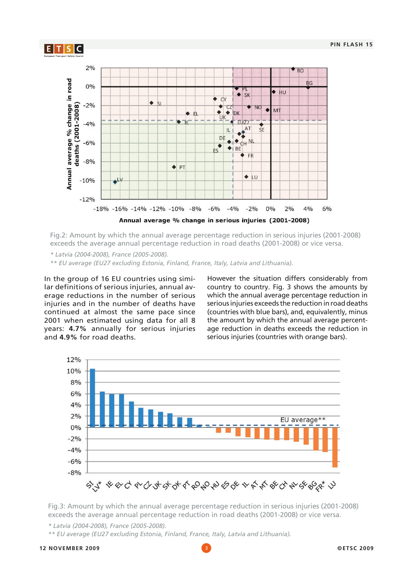

Fig.2: Amount by which the annual average percentage reduction in serious injuries (2001-2008) exceeds the average annual percentage reduction in road deaths (2001-2008) or vice versa.

*\* Latvia (2004-2008), France (2005-2008).*

*\*\* EU average (EU27 excluding Estonia, Finland, France, Italy, Latvia and Lithuania).*

In the group of 16 EU countries using similar definitions of serious injuries, annual average reductions in the number of serious injuries and in the number of deaths have continued at almost the same pace since 2001 when estimated using data for all 8 years: **4.7%** annually for serious injuries and **4.9%** for road deaths.

However the situation differs considerably from country to country. Fig. 3 shows the amounts by which the annual average percentage reduction in serious injuries exceeds the reduction in road deaths (countries with blue bars), and, equivalently, minus the amount by which the annual average percentage reduction in deaths exceeds the reduction in serious injuries (countries with orange bars).



Fig.3: Amount by which the annual average percentage reduction in serious injuries (2001-2008) exceeds the average annual percentage reduction in road deaths (2001-2008) or vice versa.

*\* Latvia (2004-2008), France (2005-2008).*

*\*\* EU average (EU27 excluding Estonia, Finland, France, Italy, Latvia and Lithuania).*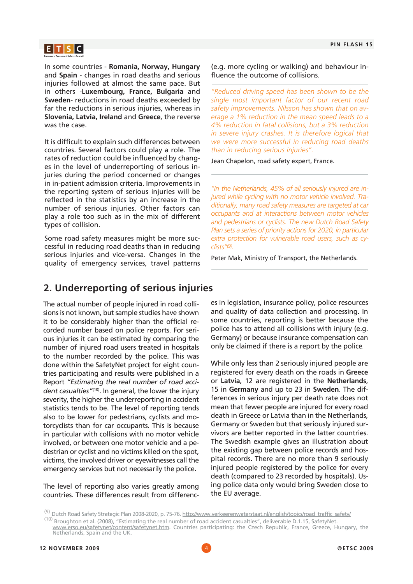

In some countries - **Romania, Norway, Hungary**  and **Spain** - changes in road deaths and serious injuries followed at almost the same pace. But in others -**Luxembourg, France, Bulgaria** and **Sweden**- reductions in road deaths exceeded by far the reductions in serious injuries, whereas in **Slovenia, Latvia, Ireland** and **Greece**, the reverse was the case.

It is difficult to explain such differences between countries. Several factors could play a role. The rates of reduction could be influenced by changes in the level of underreporting of serious injuries during the period concerned or changes in in-patient admission criteria. Improvements in the reporting system of serious injuries will be reflected in the statistics by an increase in the number of serious injuries. Other factors can play a role too such as in the mix of different types of collision.

Some road safety measures might be more successful in reducing road deaths than in reducing serious injuries and vice-versa. Changes in the quality of emergency services, travel patterns

(e.g. more cycling or walking) and behaviour influence the outcome of collisions.

*"Reduced driving speed has been shown to be the single most important factor of our recent road safety improvements. Nilsson has shown that on average a 1% reduction in the mean speed leads to a 4% reduction in fatal collisions, but a 3% reduction in severe injury crashes. It is therefore logical that we were more successful in reducing road deaths than in reducing serious injuries".*

Jean Chapelon, road safety expert, France.

*"In the Netherlands, 45% of all seriously injured are injured while cycling with no motor vehicle involved. Traditionally, many road safety measures are targeted at car occupants and at interactions between motor vehicles and pedestrians or cyclists. The new Dutch Road Safety Plan sets a series of priority actions for 2020, in particular extra protection for vulnerable road users, such as cyclists"(9).*

Peter Mak, Ministry of Transport, the Netherlands.

### **2. Underreporting of serious injuries**

The actual number of people injured in road collisions is not known, but sample studies have shown it to be considerably higher than the official recorded number based on police reports. For serious injuries it can be estimated by comparing the number of injured road users treated in hospitals to the number recorded by the police. This was done within the SafetyNet project for eight countries participating and results were published in a Report *"Estimating the real number of road accident casualties"*(10). In general, the lower the injury severity, the higher the underreporting in accident statistics tends to be. The level of reporting tends also to be lower for pedestrians, cyclists and motorcyclists than for car occupants. This is because in particular with collisions with no motor vehicle involved, or between one motor vehicle and a pedestrian or cyclist and no victims killed on the spot, victims, the involved driver or eyewitnesses call the emergency services but not necessarily the police.

The level of reporting also varies greatly among countries. These differences result from differences in legislation, insurance policy, police resources and quality of data collection and processing. In some countries, reporting is better because the police has to attend all collisions with injury (e.g. Germany) or because insurance compensation can only be claimed if there is a report by the police.

While only less than 2 seriously injured people are registered for every death on the roads in **Greece**  or **Latvia**, 12 are registered in the **Netherlands**, 15 in **Germany** and up to 23 in **Sweden**. The differences in serious injury per death rate does not mean that fewer people are injured for every road death in Greece or Latvia than in the Netherlands, Germany or Sweden but that seriously injured survivors are better reported in the latter countries. The Swedish example gives an illustration about the existing gap between police records and hospital records. There are no more than 9 seriously injured people registered by the police for every death (compared to 23 recorded by hospitals). Using police data only would bring Sweden close to the EU average.

<sup>&</sup>lt;sup>(9)</sup> Dutch Road Safety Strategic Plan 2008-2020, p. 75-76. http://www.verkeerenwaterstaat.nl/english/topics/road\_traffic\_safety/

<sup>(10)</sup> Broughton et al. (2008), "Estimating the real number of road accident casualties", deliverable D.1.15, SafetyNet.

www.erso.eu/safetynet/content/safetynet.htm. Countries participating: the Czech Republic, France, Greece, Hungary, the Netherlands, Spain and the UK.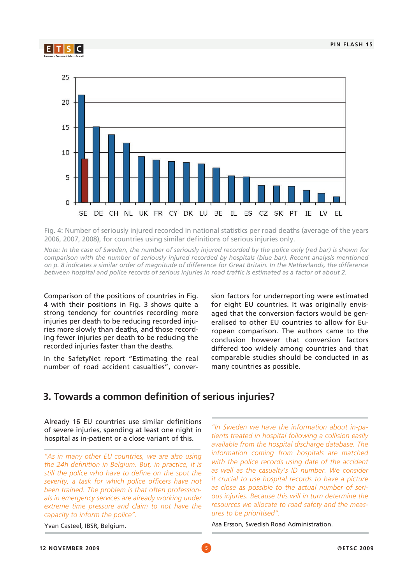



Fig. 4: Number of seriously injured recorded in national statistics per road deaths (average of the years 2006, 2007, 2008), for countries using similar definitions of serious injuries only.

*Note: In the case of Sweden, the number of seriously injured recorded by the police only (red bar) is shown for*  comparison with the number of seriously injured recorded by hospitals (blue bar). Recent analysis mentioned *on p. 8 indicates a similar order of magnitude of difference for Great Britain. In the Netherlands, the difference between hospital and police records of serious injuries in road traffic is estimated as a factor of about 2.*

Comparison of the positions of countries in Fig. 4 with their positions in Fig. 3 shows quite a strong tendency for countries recording more injuries per death to be reducing recorded injuries more slowly than deaths, and those recording fewer injuries per death to be reducing the recorded injuries faster than the deaths.

In the SafetyNet report "Estimating the real number of road accident casualties", conversion factors for underreporting were estimated for eight EU countries. It was originally envisaged that the conversion factors would be generalised to other EU countries to allow for European comparison. The authors came to the conclusion however that conversion factors differed too widely among countries and that comparable studies should be conducted in as many countries as possible.

### **3. Towards a common definition of serious injuries?**

Already 16 EU countries use similar definitions of severe injuries, spending at least one night in hospital as in-patient or a close variant of this.

*"As in many other EU countries, we are also using the 24h definition in Belgium. But, in practice, it is still the police who have to define on the spot the severity, a task for which police officers have not been trained. The problem is that often professionals in emergency services are already working under extreme time pressure and claim to not have the capacity to inform the police".*

Yvan Casteel, IBSR, Belgium.

*"In Sweden we have the information about in-patients treated in hospital following a collision easily available from the hospital discharge database. The information coming from hospitals are matched with the police records using date of the accident*  as well as the casualty's ID number. We consider *it crucial to use hospital records to have a picture as close as possible to the actual number of serious injuries. Because this will in turn determine the resources we allocate to road safety and the measures to be prioritised".*

Asa Ersson, Swedish Road Administration.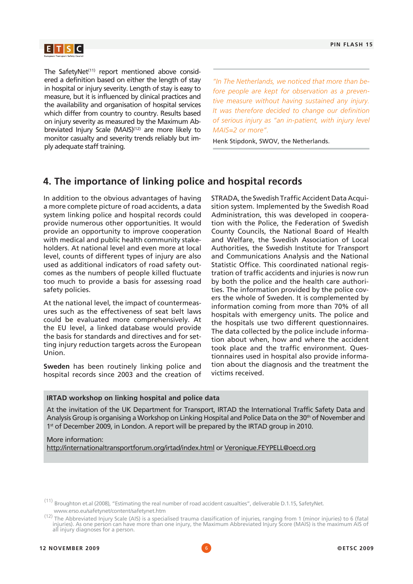The SafetyNet $(11)$  report mentioned above considered a definition based on either the length of stay in hospital or injury severity. Length of stay is easy to measure, but it is influenced by clinical practices and the availability and organisation of hospital services which differ from country to country. Results based on injury severity as measured by the Maximum Abbreviated Injury Scale (MAIS)<sup>(12)</sup> are more likely to monitor casualty and severity trends reliably but imply adequate staff training.

*"In The Netherlands, we noticed that more than before people are kept for observation as a preventive measure without having sustained any injury. It was therefore decided to change our definition of serious injury as "an in-patient, with injury level MAIS=2 or more".*

Henk Stipdonk, SWOV, the Netherlands.

## **4. The importance of linking police and hospital records**

In addition to the obvious advantages of having a more complete picture of road accidents, a data system linking police and hospital records could provide numerous other opportunities. It would provide an opportunity to improve cooperation with medical and public health community stakeholders. At national level and even more at local level, counts of different types of injury are also used as additional indicators of road safety outcomes as the numbers of people killed fluctuate too much to provide a basis for assessing road safety policies.

At the national level, the impact of countermeasures such as the effectiveness of seat belt laws could be evaluated more comprehensively. At the EU level, a linked database would provide the basis for standards and directives and for setting injury reduction targets across the European Union.

**Sweden** has been routinely linking police and hospital records since 2003 and the creation of

STRADA, the Swedish Traffic Accident Data Acquisition system. Implemented by the Swedish Road Administration, this was developed in cooperation with the Police, the Federation of Swedish County Councils, the National Board of Health and Welfare, the Swedish Association of Local Authorities, the Swedish Institute for Transport and Communications Analysis and the National Statistic Office. This coordinated national registration of traffic accidents and injuries is now run by both the police and the health care authorities. The information provided by the police covers the whole of Sweden. It is complemented by information coming from more than 70% of all hospitals with emergency units. The police and the hospitals use two different questionnaires. The data collected by the police include information about when, how and where the accident took place and the traffic environment. Questionnaires used in hospital also provide information about the diagnosis and the treatment the victims received.

#### **IRTAD workshop on linking hospital and police data**

At the invitation of the UK Department for Transport, IRTAD the International Traffic Safety Data and Analysis Group is organising a Workshop on Linking Hospital and Police Data on the 30<sup>th</sup> of November and 1<sup>st</sup> of December 2009, in London. A report will be prepared by the IRTAD group in 2010.

#### More information: http://internationaltransportforum.org/irtad/index.html or Veronique.FEYPELL@oecd.org

 $(11)$  Broughton et.al (2008), "Estimating the real number of road accident casualties", deliverable D.1.15, SafetyNet. www.erso.eu/safetynet/content/safetynet.htm

<sup>(12)</sup> The Abbreviated Injury Scale (AIS) is a specialised trauma classification of injuries, ranging from 1 (minor injuries) to 6 (fatal injuries). As one person can have more than one injury, the Maximum Abbreviated Injury Score (MAIS) is the maximum AIS of all injury diagnoses for a person.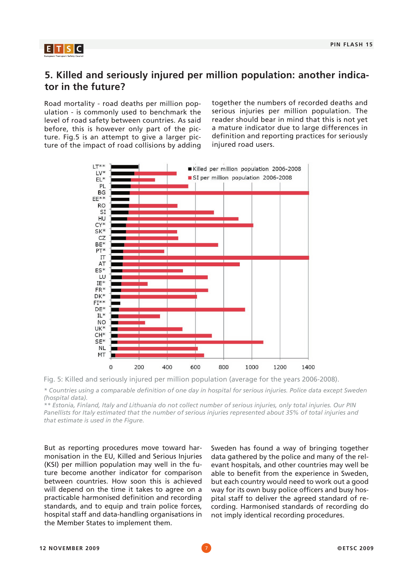

## **5. Killed and seriously injured per million population: another indicator in the future?**

Road mortality - road deaths per million population - is commonly used to benchmark the level of road safety between countries. As said before, this is however only part of the picture. Fig.5 is an attempt to give a larger picture of the impact of road collisions by adding together the numbers of recorded deaths and serious injuries per million population. The reader should bear in mind that this is not yet a mature indicator due to large differences in definition and reporting practices for seriously injured road users.





*\* Countries using a comparable definition of one day in hospital for serious injuries. Police data except Sweden (hospital data).*

*\*\* Estonia, Finland, Italy and Lithuania do not collect number of serious injuries, only total injuries. Our PIN Panellists for Italy estimated that the number of serious injuries represented about 35% of total injuries and that estimate is used in the Figure.*

But as reporting procedures move toward harmonisation in the EU, Killed and Serious Injuries (KSI) per million population may well in the future become another indicator for comparison between countries. How soon this is achieved will depend on the time it takes to agree on a practicable harmonised definition and recording standards, and to equip and train police forces, hospital staff and data-handling organisations in the Member States to implement them.

Sweden has found a way of bringing together data gathered by the police and many of the relevant hospitals, and other countries may well be able to benefit from the experience in Sweden, but each country would need to work out a good way for its own busy police officers and busy hospital staff to deliver the agreed standard of recording. Harmonised standards of recording do not imply identical recording procedures.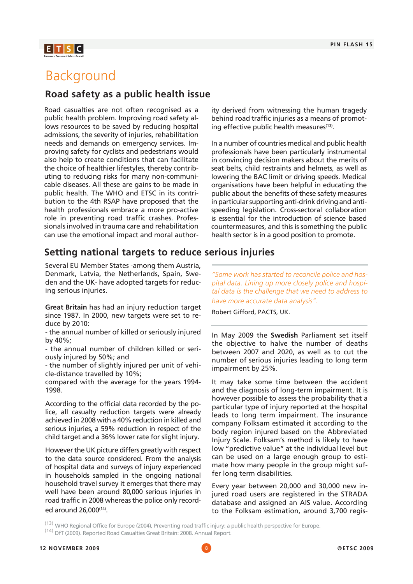## $E$  T  $S$  C

## Background

### **Road safety as a public health issue**

Road casualties are not often recognised as a public health problem. Improving road safety allows resources to be saved by reducing hospital admissions, the severity of injuries, rehabilitation needs and demands on emergency services. Improving safety for cyclists and pedestrians would also help to create conditions that can facilitate the choice of healthier lifestyles, thereby contributing to reducing risks for many non-communicable diseases. All these are gains to be made in public health. The WHO and ETSC in its contribution to the 4th RSAP have proposed that the health professionals embrace a more pro-active role in preventing road traffic crashes. Professionals involved in trauma care and rehabilitation can use the emotional impact and moral author-

## **Setting national targets to reduce serious injuries**

Several EU Member States -among them Austria, Denmark, Latvia, the Netherlands, Spain, Sweden and the UK- have adopted targets for reducing serious injuries.

**Great Britain** has had an injury reduction target since 1987. In 2000, new targets were set to reduce by 2010:

- the annual number of killed or seriously injured by 40%;

- the annual number of children killed or seriously injured by 50%; and

- the number of slightly injured per unit of vehicle-distance travelled by 10%;

compared with the average for the years 1994- 1998.

According to the official data recorded by the police, all casualty reduction targets were already achieved in 2008 with a 40% reduction in killed and serious injuries, a 59% reduction in respect of the child target and a 36% lower rate for slight injury.

However the UK picture differs greatly with respect to the data source considered. From the analysis of hospital data and surveys of injury experienced in households sampled in the ongoing national household travel survey it emerges that there may well have been around 80,000 serious injuries in road traffic in 2008 whereas the police only recorded around 26,000(14).

ity derived from witnessing the human tragedy behind road traffic injuries as a means of promoting effective public health measures<sup>(13)</sup>.

In a number of countries medical and public health professionals have been particularly instrumental in convincing decision makers about the merits of seat belts, child restraints and helmets, as well as lowering the BAC limit or driving speeds. Medical organisations have been helpful in educating the public about the benefits of these safety measures in particular supporting anti-drink driving and antispeeding legislation. Cross-sectoral collaboration is essential for the introduction of science based countermeasures, and this is something the public health sector is in a good position to promote.

*"Some work has started to reconcile police and hospital data. Lining up more closely police and hospital data is the challenge that we need to address to have more accurate data analysis".*

Robert Gifford, PACTS, UK.

In May 2009 the **Swedish** Parliament set itself the objective to halve the number of deaths between 2007 and 2020, as well as to cut the number of serious injuries leading to long term impairment by 25%.

It may take some time between the accident and the diagnosis of long-term impairment. It is however possible to assess the probability that a particular type of injury reported at the hospital leads to long term impairment. The insurance company Folksam estimated it according to the body region injured based on the Abbreviated Injury Scale. Folksam's method is likely to have low "predictive value" at the individual level but can be used on a large enough group to estimate how many people in the group might suffer long term disabilities.

Every year between 20,000 and 30,000 new injured road users are registered in the STRADA database and assigned an AIS value. According to the Folksam estimation, around 3,700 regis-

<sup>&</sup>lt;sup>(13)</sup> WHO Regional Office for Europe (2004), Preventing road traffic injury: a public health perspective for Europe.<br><sup>(14)</sup> DfT (2009). Reported Road Casualties Great Britain: 2008. Annual Report.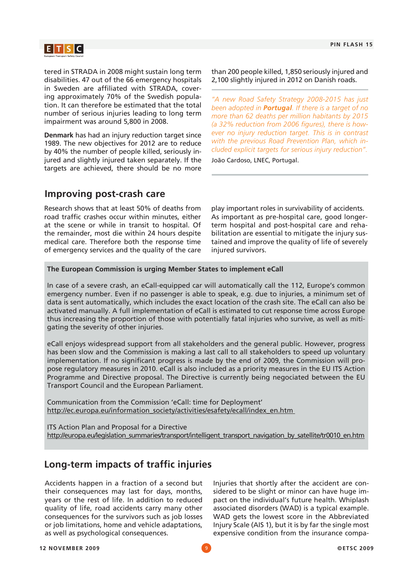

tered in STRADA in 2008 might sustain long term disabilities. 47 out of the 66 emergency hospitals in Sweden are affiliated with STRADA, covering approximately 70% of the Swedish population. It can therefore be estimated that the total number of serious injuries leading to long term impairment was around 5,800 in 2008.

**Denmark** has had an injury reduction target since 1989. The new objectives for 2012 are to reduce by 40% the number of people killed, seriously injured and slightly injured taken separately. If the targets are achieved, there should be no more

than 200 people killed, 1,850 seriously injured and 2,100 slightly injured in 2012 on Danish roads.

*"A new Road Safety Strategy 2008-2015 has just been adopted in Portugal. If there is a target of no more than 62 deaths per million habitants by 2015 (a 32% reduction from 2006 figures), there is however no injury reduction target. This is in contrast with the previous Road Prevention Plan, which included explicit targets for serious injury reduction".*

João Cardoso, LNEC, Portugal.

## **Improving post-crash care**

Research shows that at least 50% of deaths from road traffic crashes occur within minutes, either at the scene or while in transit to hospital. Of the remainder, most die within 24 hours despite medical care. Therefore both the response time of emergency services and the quality of the care

play important roles in survivability of accidents. As important as pre-hospital care, good longerterm hospital and post-hospital care and rehabilitation are essential to mitigate the injury sustained and improve the quality of life of severely injured survivors.

#### **The European Commission is urging Member States to implement eCall**

In case of a severe crash, an eCall-equipped car will automatically call the 112, Europe's common emergency number. Even if no passenger is able to speak, e.g. due to injuries, a minimum set of data is sent automatically, which includes the exact location of the crash site. The eCall can also be activated manually. A full implementation of eCall is estimated to cut response time across Europe thus increasing the proportion of those with potentially fatal injuries who survive, as well as mitigating the severity of other injuries.

eCall enjoys widespread support from all stakeholders and the general public. However, progress has been slow and the Commission is making a last call to all stakeholders to speed up voluntary implementation. If no significant progress is made by the end of 2009, the Commission will propose regulatory measures in 2010. eCall is also included as a priority measures in the EU ITS Action Programme and Directive proposal. The Directive is currently being negociated between the EU Transport Council and the European Parliament.

Communication from the Commission 'eCall: time for Deployment' http://ec.europa.eu/information\_society/activities/esafety/ecall/index\_en.htm

ITS Action Plan and Proposal for a Directive http://europa.eu/legislation\_summaries/transport/intelligent\_transport\_navigation\_by\_satellite/tr0010\_en.htm

## **Long-term impacts of traffic injuries**

Accidents happen in a fraction of a second but their consequences may last for days, months, years or the rest of life. In addition to reduced quality of life, road accidents carry many other consequences for the survivors such as job losses or job limitations, home and vehicle adaptations, as well as psychological consequences.

Injuries that shortly after the accident are considered to be slight or minor can have huge impact on the individual's future health. Whiplash associated disorders (WAD) is a typical example. WAD gets the lowest score in the Abbreviated Injury Scale (AIS 1), but it is by far the single most expensive condition from the insurance compa-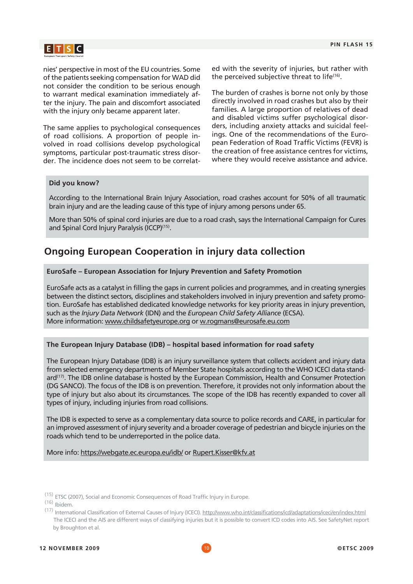

nies' perspective in most of the EU countries. Some of the patients seeking compensation for WAD did not consider the condition to be serious enough to warrant medical examination immediately after the injury. The pain and discomfort associated with the injury only became apparent later.

The same applies to psychological consequences of road collisions. A proportion of people involved in road collisions develop psychological symptoms, particular post-traumatic stress disorder. The incidence does not seem to be correlated with the severity of injuries, but rather with the perceived subjective threat to life<sup>(16)</sup>.

The burden of crashes is borne not only by those directly involved in road crashes but also by their families. A large proportion of relatives of dead and disabled victims suffer psychological disorders, including anxiety attacks and suicidal feelings. One of the recommendations of the European Federation of Road Traffic Victims (FEVR) is the creation of free assistance centres for victims, where they would receive assistance and advice.

#### **Did you know?**

According to the International Brain Injury Association, road crashes account for 50% of all traumatic brain injury and are the leading cause of this type of injury among persons under 65.

More than 50% of spinal cord injuries are due to a road crash, says the International Campaign for Cures and Spinal Cord Injury Paralysis (ICCP)<sup>(15)</sup>.

## **Ongoing European Cooperation in injury data collection**

#### **EuroSafe – European Association for Injury Prevention and Safety Promotion**

EuroSafe acts as a catalyst in filling the gaps in current policies and programmes, and in creating synergies between the distinct sectors, disciplines and stakeholders involved in injury prevention and safety promotion. EuroSafe has established dedicated knowledge networks for key priority areas in injury prevention, such as the *Injury Data Network* (IDN) and the *European Child Safety Alliance* (ECSA). More information: www.childsafetyeurope.org or w.rogmans@eurosafe.eu.com

#### **The European Injury Database (IDB) – hospital based information for road safety**

The European Injury Database (IDB) is an injury surveillance system that collects accident and injury data from selected emergency departments of Member State hospitals according to the WHO ICECI data standard<sup>(17)</sup>. The IDB online database is hosted by the European Commission, Health and Consumer Protection (DG SANCO). The focus of the IDB is on prevention. Therefore, it provides not only information about the type of injury but also about its circumstances. The scope of the IDB has recently expanded to cover all types of injury, including injuries from road collisions.

The IDB is expected to serve as a complementary data source to police records and CARE, in particular for an improved assessment of injury severity and a broader coverage of pedestrian and bicycle injuries on the roads which tend to be underreported in the police data.

More info: https://webgate.ec.europa.eu/idb/ or Rupert.Kisser@kfv.at

<sup>&</sup>lt;sup>(15)</sup> ETSC (2007), Social and Economic Consequences of Road Traffic Injury in Europe.<br><sup>(16)</sup> Ibidem

<sup>(17)</sup> International Classification of External Causes of Injury (ICECI). http://www.who.int/classifications/icd/adaptations/iceci/en/index.html The ICECI and the AIS are different ways of classifying injuries but it is possible to convert ICD codes into AIS. See SafetyNet report by Broughton et al.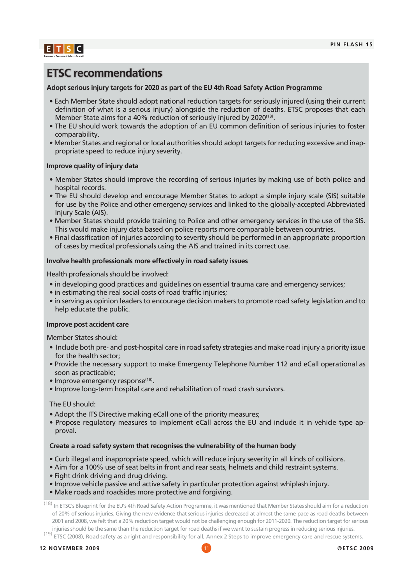

## **ETSC recommendations**

#### **Adopt serious injury targets for 2020 as part of the EU 4th Road Safety Action Programme**

- Each Member State should adopt national reduction targets for seriously injured (using their current definition of what is a serious injury) alongside the reduction of deaths. ETSC proposes that each Member State aims for a 40% reduction of seriously injured by 2020<sup>(18)</sup>.
- The EU should work towards the adoption of an EU common definition of serious injuries to foster comparability.
- Member States and regional or local authorities should adopt targets for reducing excessive and inappropriate speed to reduce injury severity.

#### **Improve quality of injury data**

- Member States should improve the recording of serious injuries by making use of both police and hospital records.
- The EU should develop and encourage Member States to adopt a simple injury scale (SIS) suitable for use by the Police and other emergency services and linked to the globally-accepted Abbreviated Injury Scale (AIS).
- Member States should provide training to Police and other emergency services in the use of the SIS. This would make injury data based on police reports more comparable between countries.
- Final classification of injuries according to severity should be performed in an appropriate proportion of cases by medical professionals using the AIS and trained in its correct use.

#### **Involve health professionals more effectively in road safety issues**

Health professionals should be involved:

- in developing good practices and guidelines on essential trauma care and emergency services;
- in estimating the real social costs of road traffic injuries;
- in serving as opinion leaders to encourage decision makers to promote road safety legislation and to help educate the public.

#### **Improve post accident care**

Member States should:

- Include both pre- and post-hospital care in road safety strategies and make road injury a priority issue for the health sector;
- Provide the necessary support to make Emergency Telephone Number 112 and eCall operational as soon as practicable;
- Improve emergency response<sup>(19)</sup>.
- Improve long-term hospital care and rehabilitation of road crash survivors.

#### The EU should:

- Adopt the ITS Directive making eCall one of the priority measures;
- Propose regulatory measures to implement eCall across the EU and include it in vehicle type approval.

#### **Create a road safety system that recognises the vulnerability of the human body**

- Curb illegal and inappropriate speed, which will reduce injury severity in all kinds of collisions.
- Aim for a 100% use of seat belts in front and rear seats, helmets and child restraint systems.
- Fight drink driving and drug driving.
- Improve vehicle passive and active safety in particular protection against whiplash injury.
- Make roads and roadsides more protective and forgiving.

(18) In ETSC's Blueprint for the EU's 4th Road Safety Action Programme, it was mentioned that Member States should aim for a reduction of 20% of serious injuries. Giving the new evidence that serious injuries decreased at almost the same pace as road deaths between 2001 and 2008, we felt that a 20% reduction target would not be challenging enough for 2011-2020. The reduction target for serious injuries should be the same than the reduction target for road deaths if we want to sustain progress in reducing serious injuries.<br><sup>(19)</sup> ETSC (2008), Road safety as a right and responsibility for all, Annex 2 Steps to im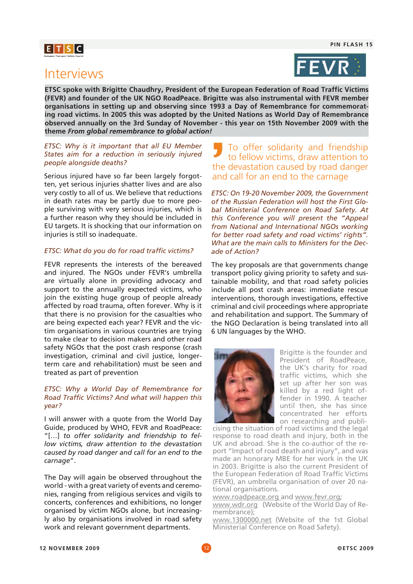## $E[T|S|C]$

## Interviews



**ETSC spoke with Brigitte Chaudhry, President of the European Federation of Road Traffic Victims (FEVR) and founder of the UK NGO RoadPeace. Brigitte was also instrumental with FEVR member organisations in setting up and observing since 1993 a Day of Remembrance for commemorating road victims. In 2005 this was adopted by the United Nations as World Day of Remembrance observed annually on the 3rd Sunday of November - this year on 15th November 2009 with the theme** *From global remembrance to global action!*

#### *ETSC: Why is it important that all EU Member States aim for a reduction in seriously injured people alongside deaths?*

Serious injured have so far been largely forgotten, yet serious injuries shatter lives and are also very costly to all of us. We believe that reductions in death rates may be partly due to more people surviving with very serious injuries, which is a further reason why they should be included in EU targets. It is shocking that our information on injuries is still so inadequate.

#### *ETSC: What do you do for road traffic victims?*

FEVR represents the interests of the bereaved and injured. The NGOs under FEVR's umbrella are virtually alone in providing advocacy and support to the annually expected victims, who join the existing huge group of people already affected by road trauma, often forever. Why is it that there is no provision for the casualties who are being expected each year? FEVR and the victim organisations in various countries are trying to make clear to decision makers and other road safety NGOs that the post crash response (crash investigation, criminal and civil justice, longerterm care and rehabilitation) must be seen and treated as part of prevention

#### *ETSC: Why a World Day of Remembrance for Road Traffic Victims? And what will happen this year?*

I will answer with a quote from the World Day Guide, produced by WHO, FEVR and RoadPeace: "[…] *to offer solidarity and friendship to fellow victims, draw attention to the devastation caused by road danger and call for an end to the carnage*".

The Day will again be observed throughout the world - with a great variety of events and ceremonies, ranging from religious services and vigils to concerts, conferences and exhibitions, no longer organised by victim NGOs alone, but increasingly also by organisations involved in road safety work and relevant government departments.

### To offer solidarity and friendship to fellow victims, draw attention to the devastation caused by road danger and call for an end to the carnage

*ETSC: On 19-20 November 2009, the Government of the Russian Federation will host the First Global Ministerial Conference on Road Safety. At this Conference you will present the "Appeal from National and International NGOs working for better road safety and road victims' rights". What are the main calls to Ministers for the Decade of Action?* 

The key proposals are that governments change transport policy giving priority to safety and sustainable mobility, and that road safety policies include all post crash areas: immediate rescue interventions, thorough investigations, effective criminal and civil proceedings where appropriate and rehabilitation and support. The Summary of the NGO Declaration is being translated into all 6 UN languages by the WHO.



Brigitte is the founder and President of RoadPeace, the UK's charity for road traffic victims, which she set up after her son was killed by a red light offender in 1990. A teacher until then, she has since concentrated her efforts on researching and publi-

cising the situation of road victims and the legal response to road death and injury, both in the UK and abroad. She is the co-author of the report "Impact of road death and injury", and was made an honorary MBE for her work in the UK in 2003. Brigitte is also the current President of the European Federation of Road Traffic Victims (FEVR), an umbrella organisation of over 20 national organisations.

www.roadpeace.org and www.fevr.org;

www.wdr.org (Website of the World Day of Remembrance);

www.1300000.net (Website of the 1st Global Ministerial Conference on Road Safety).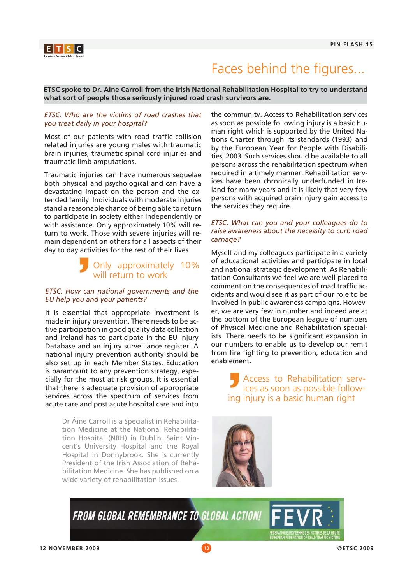

## Faces behind the figures...

**ETSC spoke to Dr. Aine Carroll from the Irish National Rehabilitation Hospital to try to understand what sort of people those seriously injured road crash survivors are.**

#### *ETSC: Who are the victims of road crashes that you treat daily in your hospital?*

Most of our patients with road traffic collision related injuries are young males with traumatic brain injuries, traumatic spinal cord injuries and traumatic limb amputations.

Traumatic injuries can have numerous sequelae both physical and psychological and can have a devastating impact on the person and the extended family. Individuals with moderate injuries stand a reasonable chance of being able to return to participate in society either independently or with assistance. Only approximately 10% will return to work. Those with severe injuries will remain dependent on others for all aspects of their day to day activities for the rest of their lives.

## **D** Only approximately 10% will return to work

#### *ETSC: How can national governments and the EU help you and your patients?*

It is essential that appropriate investment is made in injury prevention. There needs to be active participation in good quality data collection and Ireland has to participate in the EU Injury Database and an injury surveillance register. A national injury prevention authority should be also set up in each Member States. Education is paramount to any prevention strategy, especially for the most at risk groups. It is essential that there is adequate provision of appropriate services across the spectrum of services from acute care and post acute hospital care and into

> Dr Áine Carroll is a Specialist in Rehabilitation Medicine at the National Rehabilitation Hospital (NRH) in Dublin, Saint Vincent's University Hospital and the Royal Hospital in Donnybrook. She is currently President of the Irish Association of Rehabilitation Medicine. She has published on a wide variety of rehabilitation issues.

the community. Access to Rehabilitation services as soon as possible following injury is a basic human right which is supported by the United Nations Charter through its standards (1993) and by the European Year for People with Disabilities, 2003. Such services should be available to all persons across the rehabilitation spectrum when required in a timely manner. Rehabilitation services have been chronically underfunded in Ireland for many years and it is likely that very few persons with acquired brain injury gain access to the services they require.

#### *ETSC: What can you and your colleagues do to raise awareness about the necessity to curb road carnage?*

Myself and my colleagues participate in a variety of educational activities and participate in local and national strategic development. As Rehabilitation Consultants we feel we are well placed to comment on the consequences of road traffic accidents and would see it as part of our role to be involved in public awareness campaigns. However, we are very few in number and indeed are at the bottom of the European league of numbers of Physical Medicine and Rehabilitation specialists. There needs to be significant expansion in our numbers to enable us to develop our remit from fire fighting to prevention, education and enablement.

> Access to Rehabilitation services as soon as possible following injury is a basic human right



**FROM GLOBAL REMEMBRANCE TO GLOBAL ACTION! FEV**